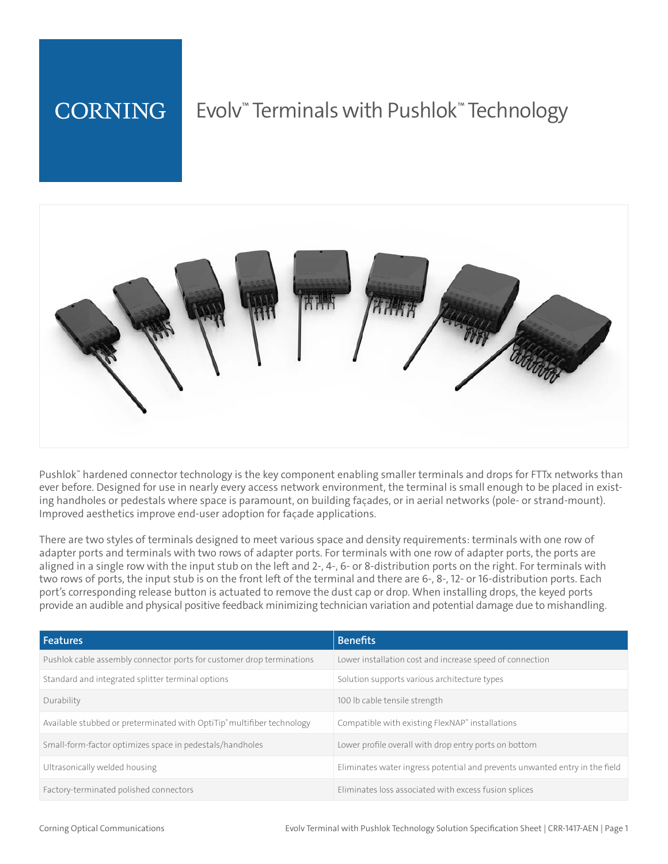#### **CORNING** Evolv™ Terminals with Pushlok™ Technology



Pushlok™ hardened connector technology is the key component enabling smaller terminals and drops for FTTx networks than ever before. Designed for use in nearly every access network environment, the terminal is small enough to be placed in existing handholes or pedestals where space is paramount, on building facades, or in aerial networks (pole- or strand-mount). Improved aesthetics improve end-user adoption for facade applications.

There are two styles of terminals designed to meet various space and density requirements: terminals with one row of adapter ports and terminals with two rows of adapter ports. For terminals with one row of adapter ports, the ports are aligned in a single row with the input stub on the left and 2-, 4-, 6- or 8-distribution ports on the right. For terminals with two rows of ports, the input stub is on the front left of the terminal and there are 6-, 8-, 12- or 16-distribution ports. Each port's corresponding release button is actuated to remove the dust cap or drop. When installing drops, the keyed ports provide an audible and physical positive feedback minimizing technician variation and potential damage due to mishandling.

| <b>Features</b>                                                        | <b>Benefits</b>                                                             |
|------------------------------------------------------------------------|-----------------------------------------------------------------------------|
| Pushlok cable assembly connector ports for customer drop terminations  | Lower installation cost and increase speed of connection                    |
| Standard and integrated splitter terminal options                      | Solution supports various architecture types                                |
| Durability                                                             | 100 lb cable tensile strength                                               |
| Available stubbed or preterminated with OptiTip® multifiber technology | Compatible with existing FlexNAP" installations                             |
| Small-form-factor optimizes space in pedestals/handholes               | Lower profile overall with drop entry ports on bottom                       |
| Ultrasonically welded housing                                          | Eliminates water ingress potential and prevents unwanted entry in the field |
| Factory-terminated polished connectors                                 | Eliminates loss associated with excess fusion splices                       |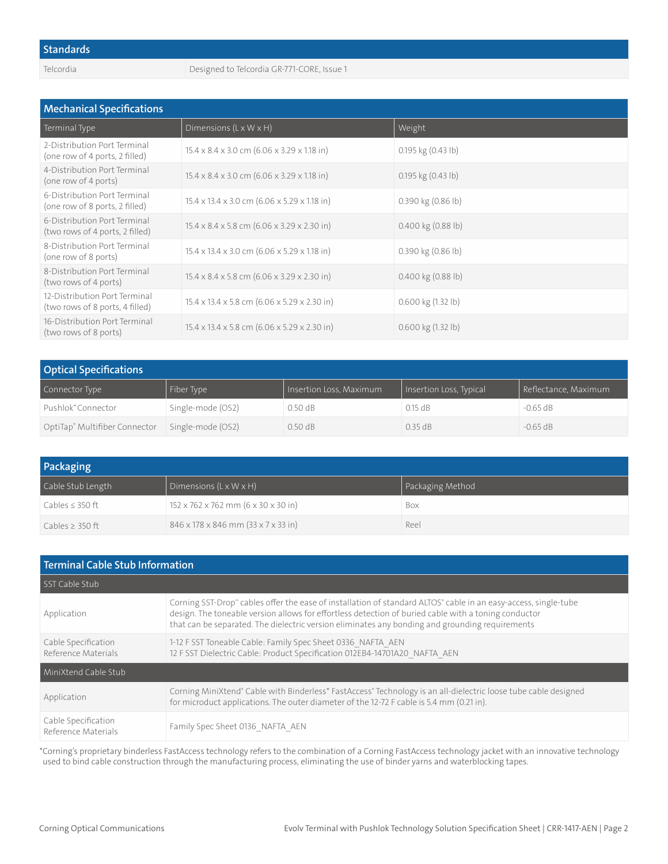Telcordia Designed to Telcordia GR-771-CORE, Issue 1

| <b>Mechanical Specifications</b>                                 |                                                                     |                        |  |
|------------------------------------------------------------------|---------------------------------------------------------------------|------------------------|--|
| Terminal Type                                                    | Dimensions $(L \times W \times H)$                                  | Weight                 |  |
| 2-Distribution Port Terminal<br>(one row of 4 ports, 2 filled)   | $15.4 \times 8.4 \times 3.0$ cm $(6.06 \times 3.29 \times 1.18$ in) | 0.195 kg (0.43 lb)     |  |
| 4-Distribution Port Terminal<br>(one row of 4 ports)             | $15.4 \times 8.4 \times 3.0$ cm $(6.06 \times 3.29 \times 1.18)$ in | $0.195$ kg $(0.43$ lb) |  |
| 6-Distribution Port Terminal<br>(one row of 8 ports, 2 filled)   | $15.4 \times 13.4 \times 3.0$ cm (6.06 x 5.29 x 1.18 in)            | 0.390 kg (0.86 lb)     |  |
| 6-Distribution Port Terminal<br>(two rows of 4 ports, 2 filled)  | $15.4 \times 8.4 \times 5.8$ cm (6.06 x 3.29 x 2.30 in)             | $0.400$ kg $(0.88$ lb) |  |
| 8-Distribution Port Terminal<br>(one row of 8 ports)             | $15.4 \times 13.4 \times 3.0$ cm (6.06 x 5.29 x 1.18 in)            | 0.390 kg (0.86 lb)     |  |
| 8-Distribution Port Terminal<br>(two rows of 4 ports)            | $15.4 \times 8.4 \times 5.8$ cm (6.06 x 3.29 x 2.30 in)             | $0.400$ kg $(0.88$ lb) |  |
| 12-Distribution Port Terminal<br>(two rows of 8 ports, 4 filled) | $15.4 \times 13.4 \times 5.8$ cm (6.06 x 5.29 x 2.30 in)            | 0.600 kg (1.32 lb)     |  |
| 16-Distribution Port Terminal<br>(two rows of 8 ports)           | $15.4 \times 13.4 \times 5.8$ cm (6.06 x 5.29 x 2.30 in)            | $0.600$ kg $(1.32$ lb) |  |

| <b>Optical Specifications</b> |                   |                         |                         |                      |
|-------------------------------|-------------------|-------------------------|-------------------------|----------------------|
| Connector Type                | Fiber Type        | Insertion Loss, Maximum | Insertion Loss, Typical | Reflectance, Maximum |
| Pushlok" Connector            | Single-mode (OS2) | 0.50dB                  | 0.15 dB                 | $-0.65$ dB           |
| OptiTap® Multifiber Connector | Single-mode (OS2) | 0.50 dB                 | 0.35 dB                 | $-0.65$ dB           |

| Packaging            |                                                               |                  |  |
|----------------------|---------------------------------------------------------------|------------------|--|
| Cable Stub Length    | Dimensions $(L \times W \times H)$                            | Packaging Method |  |
| Cables $\leq$ 350 ft | $152 \times 762 \times 762$ mm (6 $\times$ 30 $\times$ 30 in) | Box              |  |
| Cables $>$ 350 ft    | $846 \times 178 \times 846$ mm $(33 \times 7 \times 33)$ in   | Reel             |  |

| Terminal Cable Stub Information            |                                                                                                                                                                                                                                                                                                                            |  |
|--------------------------------------------|----------------------------------------------------------------------------------------------------------------------------------------------------------------------------------------------------------------------------------------------------------------------------------------------------------------------------|--|
| SST Cable Stub                             |                                                                                                                                                                                                                                                                                                                            |  |
| Application                                | Corning SST-Drop" cables offer the ease of installation of standard ALTOS° cable in an easy-access, single-tube<br>design. The toneable version allows for effortless detection of buried cable with a toning conductor<br>that can be separated. The dielectric version eliminates any bonding and grounding requirements |  |
| Cable Specification<br>Reference Materials | 1-12 F SST Toneable Cable: Family Spec Sheet 0336 NAFTA AEN<br>12 F SST Dielectric Cable: Product Specification 012EB4-14701A20 NAFTA AEN                                                                                                                                                                                  |  |
| MiniXtend Cable Stub                       |                                                                                                                                                                                                                                                                                                                            |  |
| Application                                | Corning MiniXtend® Cable with Binderless® FastAccess® Technology is an all-dielectric loose tube cable designed<br>for microduct applications. The outer diameter of the 12-72 F cable is 5.4 mm (0.21 in).                                                                                                                |  |
| Cable Specification<br>Reference Materials | Family Spec Sheet 0136_NAFTA_AEN                                                                                                                                                                                                                                                                                           |  |

\*Corning's proprietary binderless FastAccess technology refers to the combination of a Corning FastAccess technology jacket with an innovative technology used to bind cable construction through the manufacturing process, eliminating the use of binder yarns and waterblocking tapes.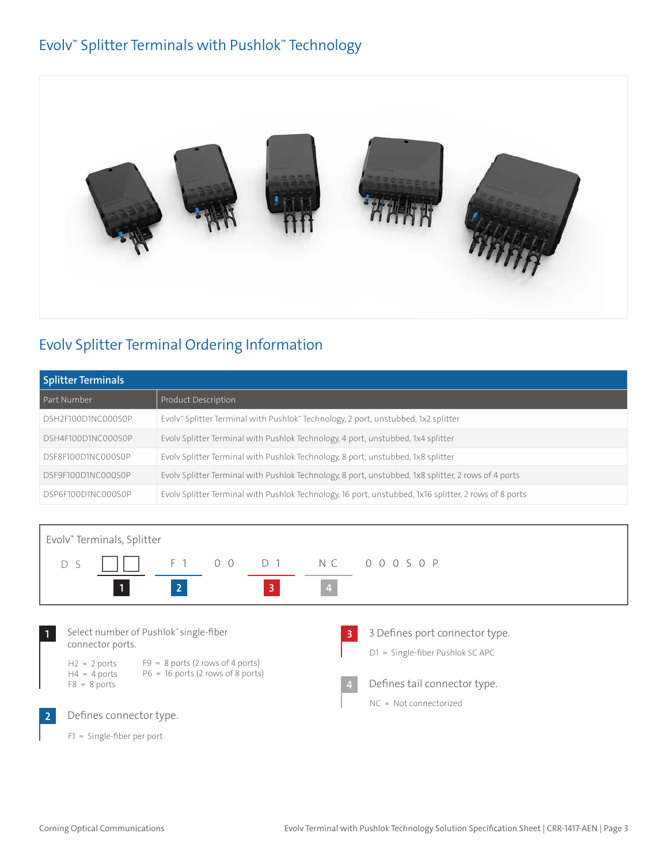### Evolv™ Splitter Terminals with Pushlok™ Technology



# Evolv Splitter Terminal Ordering Information

| <b>Splitter Terminals</b> |                                                                                                       |  |
|---------------------------|-------------------------------------------------------------------------------------------------------|--|
| Part Number               | Product Description                                                                                   |  |
| DSH2F100D1NC000S0P        | Evolv" Splitter Terminal with Pushlok" Technology, 2 port, unstubbed, 1x2 splitter                    |  |
| DSH4F100D1NC000S0P        | Evolv Splitter Terminal with Pushlok Technology, 4 port, unstubbed, 1x4 splitter                      |  |
| DSF8F100D1NC000S0P        | Evolv Splitter Terminal with Pushlok Technology, 8 port, unstubbed, 1x8 splitter                      |  |
| DSF9F100D1NC000S0P        | Evoly Splitter Terminal with Pushlok Technology, 8 port, unstubbed, 1x8 splitter, 2 rows of 4 ports   |  |
| DSP6F100D1NC000S0P        | Evoly Splitter Terminal with Pushlok Technology, 16 port, unstubbed, 1x16 splitter, 2 rows of 8 ports |  |

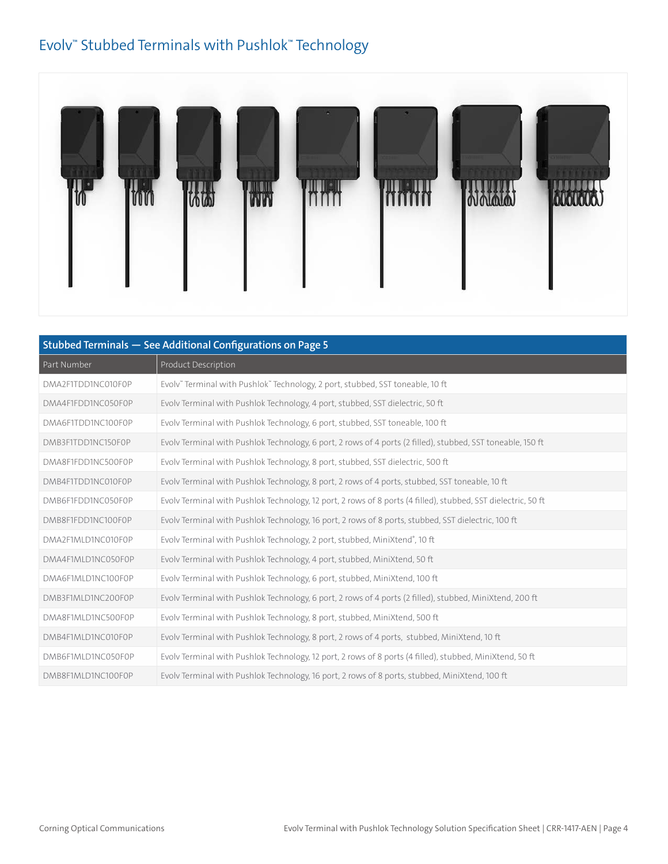### Evolv™ Stubbed Terminals with Pushlok™ Technology



| Stubbed Terminals - See Additional Configurations on Page 5 |                                                                                                               |  |
|-------------------------------------------------------------|---------------------------------------------------------------------------------------------------------------|--|
| Part Number                                                 | Product Description                                                                                           |  |
| DMA2F1TDD1NC010F0P                                          | Evolv" Terminal with Pushlok" Technology, 2 port, stubbed, SST toneable, 10 ft                                |  |
| DMA4F1FDD1NC050F0P                                          | Evolv Terminal with Pushlok Technology, 4 port, stubbed, SST dielectric, 50 ft                                |  |
| DMA6F1TDD1NC100F0P                                          | Evolv Terminal with Pushlok Technology, 6 port, stubbed, SST toneable, 100 ft                                 |  |
| DMB3F1TDD1NC150F0P                                          | Evoly Terminal with Pushlok Technology, 6 port, 2 rows of 4 ports (2 filled), stubbed, SST toneable, 150 ft   |  |
| DMA8F1FDD1NC500F0P                                          | Evolv Terminal with Pushlok Technology, 8 port, stubbed, SST dielectric, 500 ft                               |  |
| DMB4F1TDD1NC010F0P                                          | Evolv Terminal with Pushlok Technology, 8 port, 2 rows of 4 ports, stubbed, SST toneable, 10 ft               |  |
| DMB6F1FDD1NC050F0P                                          | Evoly Terminal with Pushlok Technology, 12 port, 2 rows of 8 ports (4 filled), stubbed, SST dielectric, 50 ft |  |
| DMB8F1FDD1NC100F0P                                          | Evoly Terminal with Pushlok Technology, 16 port, 2 rows of 8 ports, stubbed, SST dielectric, 100 ft           |  |
| DMA2F1MLD1NC010F0P                                          | Evolv Terminal with Pushlok Technology, 2 port, stubbed, MiniXtend®, 10 ft                                    |  |
| DMA4F1MLD1NC050F0P                                          | Evolv Terminal with Pushlok Technology, 4 port, stubbed, MiniXtend, 50 ft                                     |  |
| DMA6F1MLD1NC100F0P                                          | Evolv Terminal with Pushlok Technology, 6 port, stubbed, MiniXtend, 100 ft                                    |  |
| DMB3F1MLD1NC200F0P                                          | Evoly Terminal with Pushlok Technology, 6 port, 2 rows of 4 ports (2 filled), stubbed, MiniXtend, 200 ft      |  |
| DMA8F1MLD1NC500F0P                                          | Evolv Terminal with Pushlok Technology, 8 port, stubbed, MiniXtend, 500 ft                                    |  |
| DMB4F1MLD1NC010F0P                                          | Evolv Terminal with Pushlok Technology, 8 port, 2 rows of 4 ports, stubbed, MiniXtend, 10 ft                  |  |
| DMB6F1MLD1NC050F0P                                          | Evolv Terminal with Pushlok Technology, 12 port, 2 rows of 8 ports (4 filled), stubbed, MiniXtend, 50 ft      |  |
| DMB8F1MLD1NC100F0P                                          | Evolv Terminal with Pushlok Technology, 16 port, 2 rows of 8 ports, stubbed, MiniXtend, 100 ft                |  |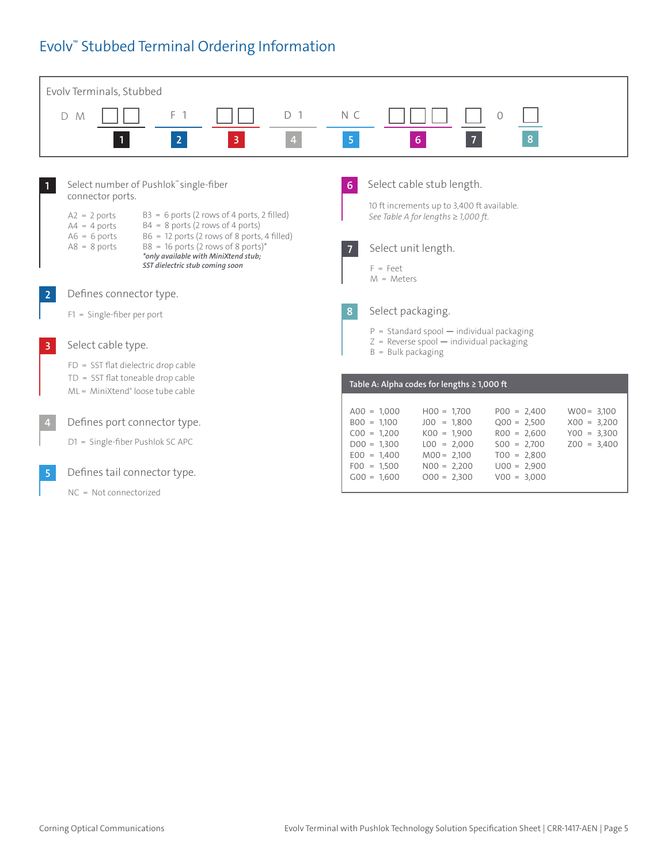## Evolv™ Stubbed Terminal Ordering Information

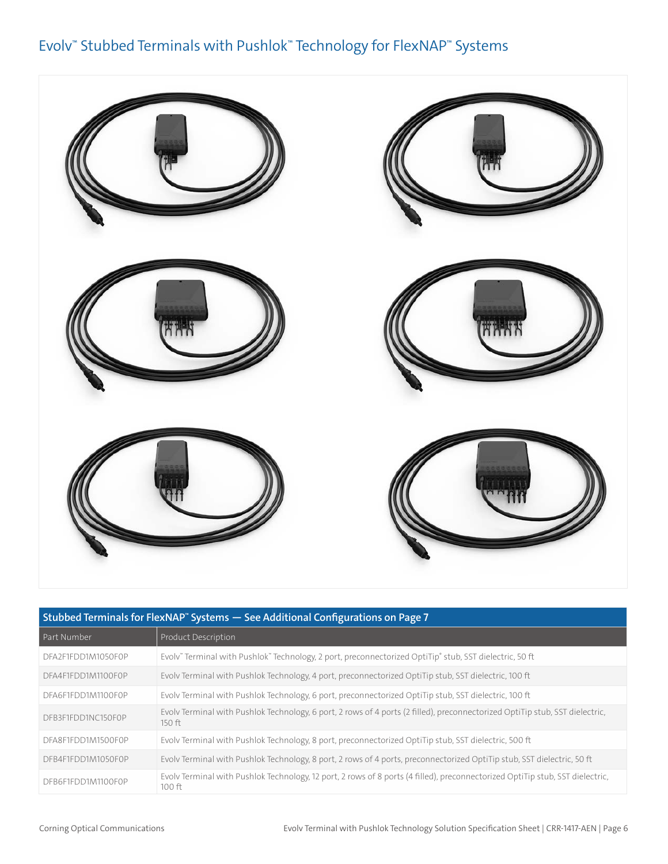### Evolv™ Stubbed Terminals with Pushlok™ Technology for FlexNAP™ Systems



| Stubbed Terminals for FlexNAP" Systems - See Additional Configurations on Page 7 |                                                                                                                                           |  |
|----------------------------------------------------------------------------------|-------------------------------------------------------------------------------------------------------------------------------------------|--|
| Part Number                                                                      | Product Description                                                                                                                       |  |
| DFA2F1FDD1M1050F0P                                                               | Evoly" Terminal with Pushlok" Technology, 2 port, preconnectorized OptiTip® stub, SST dielectric, 50 ft                                   |  |
| DFA4F1FDD1M1100F0P                                                               | Evoly Terminal with Pushlok Technology, 4 port, preconnectorized OptiTip stub, SST dielectric, 100 ft                                     |  |
| DFA6F1FDD1M1100F0P                                                               | Evoly Terminal with Pushlok Technology, 6 port, preconnectorized OptiTip stub, SST dielectric, 100 ft                                     |  |
| DFB3F1FDD1NC150F0P                                                               | Evoly Terminal with Pushlok Technology, 6 port, 2 rows of 4 ports (2 filled), preconnectorized OptiTip stub, SST dielectric,<br>$150$ ft  |  |
| DFA8F1FDD1M1500F0P                                                               | Evoly Terminal with Pushlok Technology, 8 port, preconnectorized OptiTip stub, SST dielectric, 500 ft                                     |  |
| DFB4F1FDD1M1050F0P                                                               | Evoly Terminal with Pushlok Technology, 8 port, 2 rows of 4 ports, preconnectorized OptiTip stub, SST dielectric, 50 ft                   |  |
| DFB6F1FDD1M1100F0P                                                               | Evoly Terminal with Pushlok Technology, 12 port, 2 rows of 8 ports (4 filled), preconnectorized OptiTip stub, SST dielectric,<br>$100$ ft |  |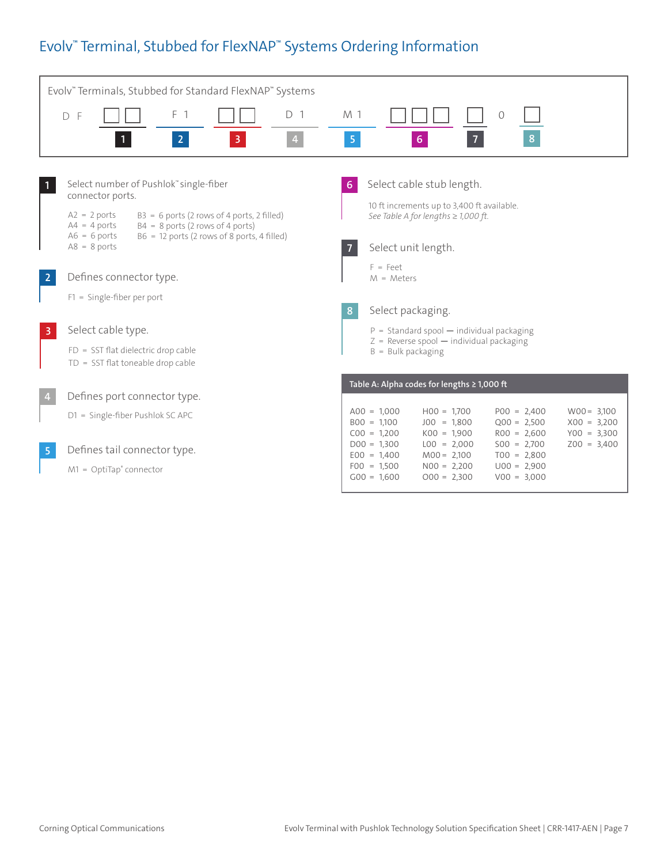# Evolv™ Terminal, Stubbed for FlexNAP™ Systems Ordering Information

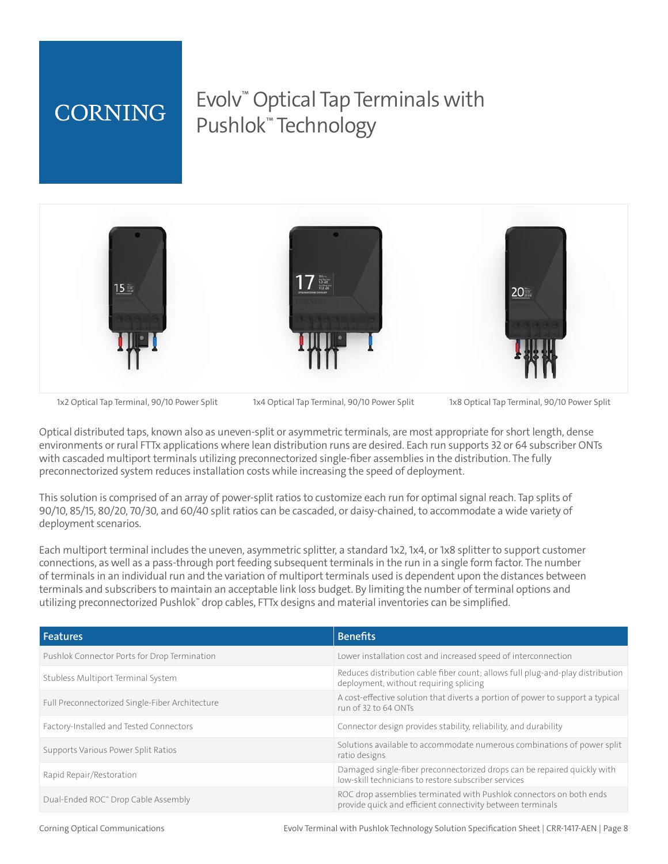# **CORNING**

# Evolv™ Optical Tap Terminals with Pushlok™ Technology



1x2 Optical Tap Terminal, 90/10 Power Split 1x4 Optical Tap Terminal, 90/10 Power Split 1x8 Optical Tap Terminal, 90/10 Power Split

Optical distributed taps, known also as uneven-split or asymmetric terminals, are most appropriate for short length, dense environments or rural FTTx applications where lean distribution runs are desired. Each run supports 32 or 64 subscriber ONTs with cascaded multiport terminals utilizing preconnectorized single-fiber assemblies in the distribution. The fully preconnectorized system reduces installation costs while increasing the speed of deployment.

This solution is comprised of an array of power-split ratios to customize each run for optimal signal reach. Tap splits of 90/10, 85/15, 80/20, 70/30, and 60/40 split ratios can be cascaded, or daisy-chained, to accommodate a wide variety of deployment scenarios.

Each multiport terminal includes the uneven, asymmetric splitter, a standard 1x2, 1x4, or 1x8 splitter to support customer connections, as well as a pass-through port feeding subsequent terminals in the run in a single form factor. The number of terminals in an individual run and the variation of multiport terminals used is dependent upon the distances between terminals and subscribers to maintain an acceptable link loss budget. By limiting the number of terminal options and utilizing preconnectorized Pushlok™ drop cables, FTTx designs and material inventories can be simplified.

| <b>Features</b>                                 | <b>Benefits</b>                                                                                                                   |
|-------------------------------------------------|-----------------------------------------------------------------------------------------------------------------------------------|
| Pushlok Connector Ports for Drop Termination    | Lower installation cost and increased speed of interconnection                                                                    |
| Stubless Multiport Terminal System              | Reduces distribution cable fiber count; allows full plug-and-play distribution<br>deployment, without requiring splicing          |
| Full Preconnectorized Single-Fiber Architecture | A cost-effective solution that diverts a portion of power to support a typical<br>run of 32 to 64 ONTs                            |
| Factory-Installed and Tested Connectors         | Connector design provides stability, reliability, and durability                                                                  |
| Supports Various Power Split Ratios             | Solutions available to accommodate numerous combinations of power split<br>ratio designs                                          |
| Rapid Repair/Restoration                        | Damaged single-fiber preconnectorized drops can be repaired quickly with<br>low-skill technicians to restore subscriber services  |
| Dual-Ended ROC" Drop Cable Assembly             | ROC drop assemblies terminated with Pushlok connectors on both ends<br>provide quick and efficient connectivity between terminals |

Corning Optical Communications Evolv Terminal with Pushlok Technology Solution Specification Sheet | CRR-1417-AEN | Page 8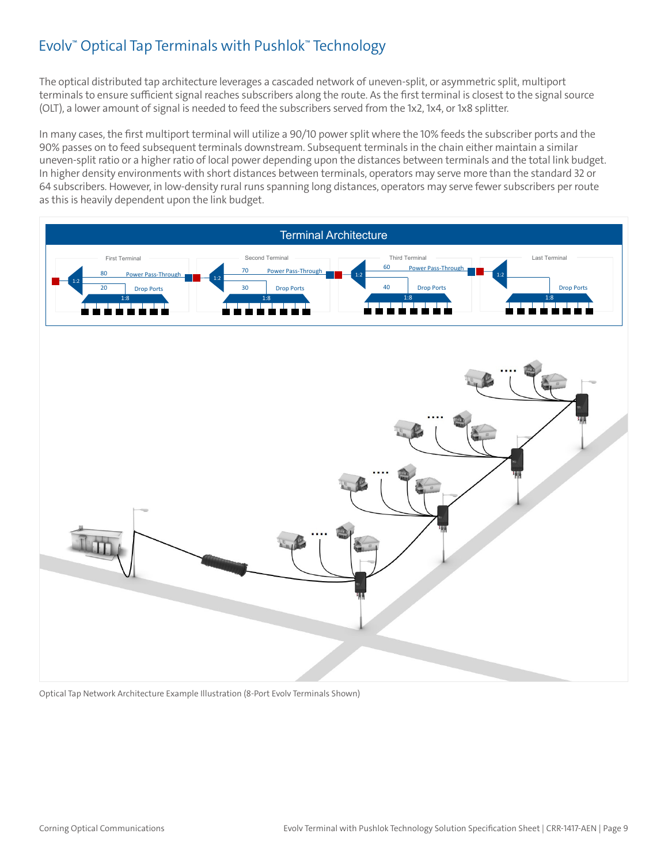# Evolv™ Optical Tap Terminals with Pushlok™ Technology

The optical distributed tap architecture leverages a cascaded network of uneven-split, or asymmetric split, multiport terminals to ensure sufficient signal reaches subscribers along the route. As the first terminal is closest to the signal source (OLT), a lower amount of signal is needed to feed the subscribers served from the 1x2, 1x4, or 1x8 splitter.

In many cases, the first multiport terminal will utilize a 90/10 power split where the 10% feeds the subscriber ports and the 90% passes on to feed subsequent terminals downstream. Subsequent terminals in the chain either maintain a similar uneven-split ratio or a higher ratio of local power depending upon the distances between terminals and the total link budget. In higher density environments with short distances between terminals, operators may serve more than the standard 32 or 64 subscribers. However, in low-density rural runs spanning long distances, operators may serve fewer subscribers per route as this is heavily dependent upon the link budget.



Optical Tap Network Architecture Example Illustration (8-Port Evolv Terminals Shown)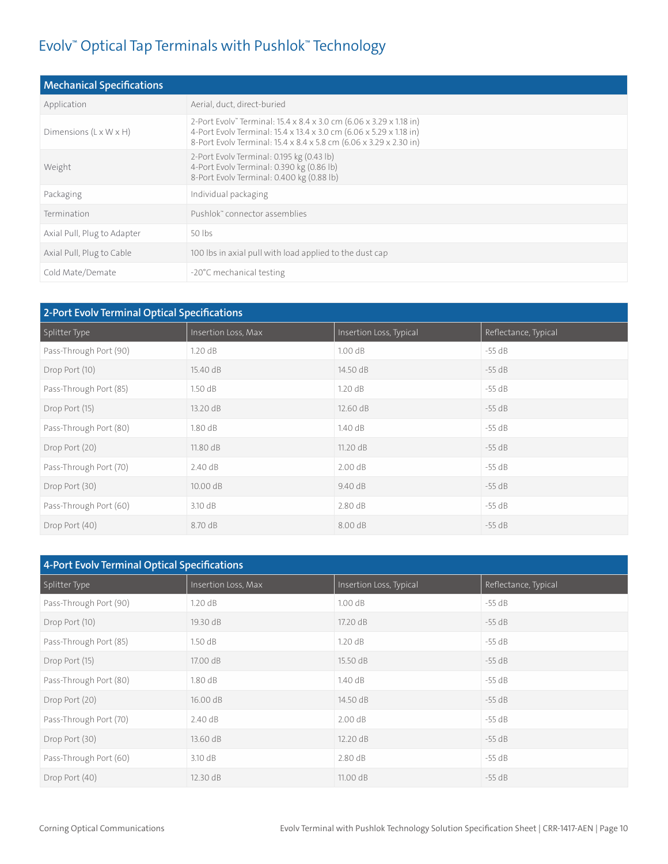## Evolv™ Optical Tap Terminals with Pushlok™ Technology

| <b>Mechanical Specifications</b>   |                                                                                                                                                                                                                  |
|------------------------------------|------------------------------------------------------------------------------------------------------------------------------------------------------------------------------------------------------------------|
| Application                        | Aerial, duct, direct-buried                                                                                                                                                                                      |
| Dimensions $(L \times W \times H)$ | 2-Port Evolv" Terminal: 15.4 x 8.4 x 3.0 cm (6.06 x 3.29 x 1.18 in)<br>4-Port Evolv Terminal: 15.4 x 13.4 x 3.0 cm (6.06 x 5.29 x 1.18 in)<br>8-Port Evolv Terminal: 15.4 x 8.4 x 5.8 cm (6.06 x 3.29 x 2.30 in) |
| Weight                             | 2-Port Evolv Terminal: 0.195 kg (0.43 lb)<br>4-Port Evolv Terminal: 0.390 kg (0.86 lb)<br>8-Port Evolv Terminal: 0.400 kg (0.88 lb)                                                                              |
| Packaging                          | Individual packaging                                                                                                                                                                                             |
| Termination                        | Pushlok" connector assemblies                                                                                                                                                                                    |
| Axial Pull, Plug to Adapter        | 50 lbs                                                                                                                                                                                                           |
| Axial Pull, Plug to Cable          | 100 lbs in axial pull with load applied to the dust cap                                                                                                                                                          |
| Cold Mate/Demate                   | -20°C mechanical testing                                                                                                                                                                                         |

| 2-Port Evolv Terminal Optical Specifications |                     |                         |                      |
|----------------------------------------------|---------------------|-------------------------|----------------------|
| Splitter Type                                | Insertion Loss, Max | Insertion Loss, Typical | Reflectance, Typical |
| Pass-Through Port (90)                       | 1.20dB              | 1.00dB                  | $-55 dB$             |
| Drop Port (10)                               | 15.40 dB            | 14.50 dB                | $-55$ dB             |
| Pass-Through Port (85)                       | 1.50dB              | 1.20dB                  | $-55$ dB             |
| Drop Port (15)                               | 13.20 dB            | 12.60 dB                | $-55$ dB             |
| Pass-Through Port (80)                       | 1.80dB              | 1.40dB                  | $-55$ dB             |
| Drop Port (20)                               | 11.80 dB            | 11.20 dB                | $-55$ dB             |
| Pass-Through Port (70)                       | 2.40 dB             | 2.00 dB                 | $-55 dB$             |
| Drop Port (30)                               | 10.00 dB            | 9.40 dB                 | $-55 dB$             |
| Pass-Through Port (60)                       | 3.10 dB             | 2.80dB                  | $-55 dB$             |
| Drop Port (40)                               | 8.70 dB             | 8.00 dB                 | $-55$ dB             |

| 4-Port Evolv Terminal Optical Specifications |                     |                         |                      |
|----------------------------------------------|---------------------|-------------------------|----------------------|
| Splitter Type                                | Insertion Loss, Max | Insertion Loss, Typical | Reflectance, Typical |
| Pass-Through Port (90)                       | 1.20dB              | 1.00dB                  | $-55$ dB             |
| Drop Port (10)                               | 19.30 dB            | 17.20 dB                | $-55$ dB             |
| Pass-Through Port (85)                       | 1.50dB              | 1.20dB                  | $-55$ dB             |
| Drop Port (15)                               | 17.00 dB            | 15.50 dB                | $-55$ dB             |
| Pass-Through Port (80)                       | 1.80dB              | 1.40dB                  | $-55$ dB             |
| Drop Port (20)                               | 16.00 dB            | 14.50 dB                | $-55 dB$             |
| Pass-Through Port (70)                       | 2.40 dB             | 2.00dB                  | $-55$ dB             |
| Drop Port (30)                               | 13.60 dB            | 12.20 dB                | $-55$ dB             |
| Pass-Through Port (60)                       | 3.10 dB             | 2.80dB                  | $-55 dB$             |
| Drop Port (40)                               | 12.30 dB            | 11.00 dB                | $-55$ dB             |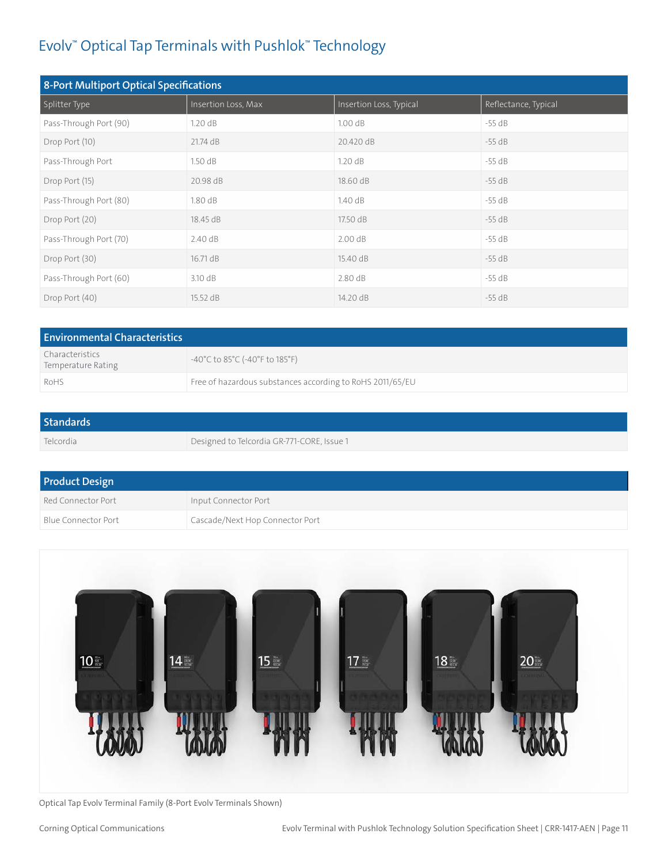# Evolv™ Optical Tap Terminals with Pushlok™ Technology

| 8-Port Multiport Optical Specifications |                     |                         |                      |
|-----------------------------------------|---------------------|-------------------------|----------------------|
| Splitter Type                           | Insertion Loss, Max | Insertion Loss, Typical | Reflectance, Typical |
| Pass-Through Port (90)                  | 1.20dB              | 1.00 dB                 | $-55$ dB             |
| Drop Port (10)                          | 21.74 dB            | 20.420 dB               | $-55$ dB             |
| Pass-Through Port                       | 1.50dB              | 1.20dB                  | $-55 dB$             |
| Drop Port (15)                          | 20.98 dB            | 18.60 dB                | $-55$ dB             |
| Pass-Through Port (80)                  | 1.80dB              | 1.40dB                  | $-55 dB$             |
| Drop Port (20)                          | 18.45 dB            | 17.50 dB                | $-55$ dB             |
| Pass-Through Port (70)                  | 2.40 dB             | 2.00 dB                 | $-55 dB$             |
| Drop Port (30)                          | 16.71 dB            | 15.40 dB                | $-55$ dB             |
| Pass-Through Port (60)                  | 3.10 dB             | 2.80dB                  | $-55$ dB             |
| Drop Port (40)                          | 15.52 dB            | 14.20 dB                | $-55$ dB             |

| <b>Environmental Characteristics</b>  |                                                                           |  |
|---------------------------------------|---------------------------------------------------------------------------|--|
| Characteristics<br>Temperature Rating | $-40^{\circ}$ C to 85 $^{\circ}$ C (-40 $^{\circ}$ F to 185 $^{\circ}$ F) |  |
| RoHS                                  | Free of hazardous substances according to RoHS 2011/65/EU                 |  |

| <b>Standards</b> |                                            |
|------------------|--------------------------------------------|
| Telcordia        | Designed to Telcordia GR-771-CORE, Issue 1 |

| <b>Product Design</b> |                                 |  |
|-----------------------|---------------------------------|--|
| Red Connector Port    | Input Connector Port            |  |
| Blue Connector Port   | Cascade/Next Hop Connector Port |  |



Optical Tap Evolv Terminal Family (8-Port Evolv Terminals Shown)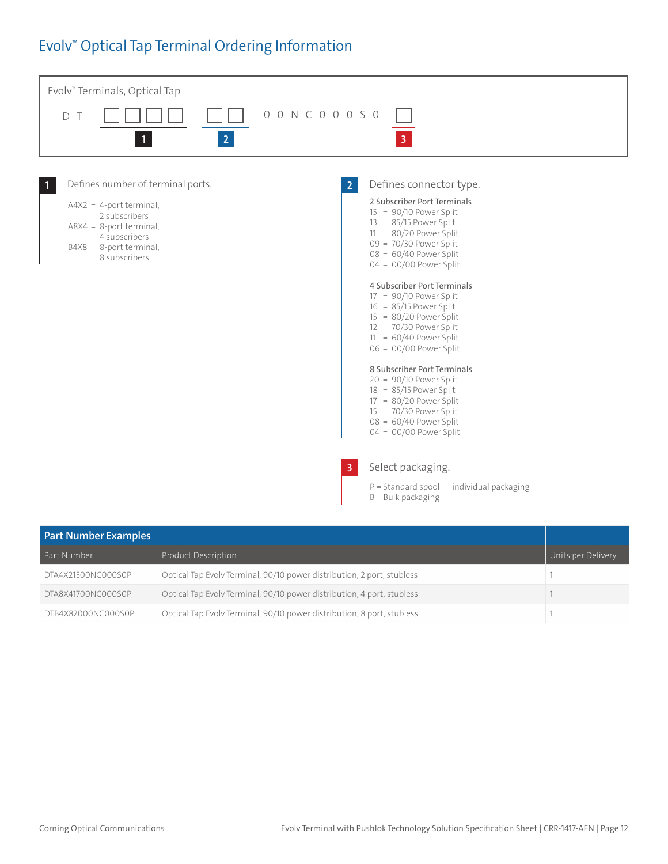### Evolv™ Optical Tap Terminal Ordering Information



| <b>Part Number Examples</b> |                                                                        |                    |
|-----------------------------|------------------------------------------------------------------------|--------------------|
| Part Number                 | Product Description                                                    | Units per Delivery |
| DTA4X21500NC000S0P          | Optical Tap Evolv Terminal, 90/10 power distribution, 2 port, stubless |                    |
| DTA8X41700NC000S0P          | Optical Tap Evolv Terminal, 90/10 power distribution, 4 port, stubless |                    |
| DTB4X82000NC000S0P          | Optical Tap Evolv Terminal, 90/10 power distribution, 8 port, stubless |                    |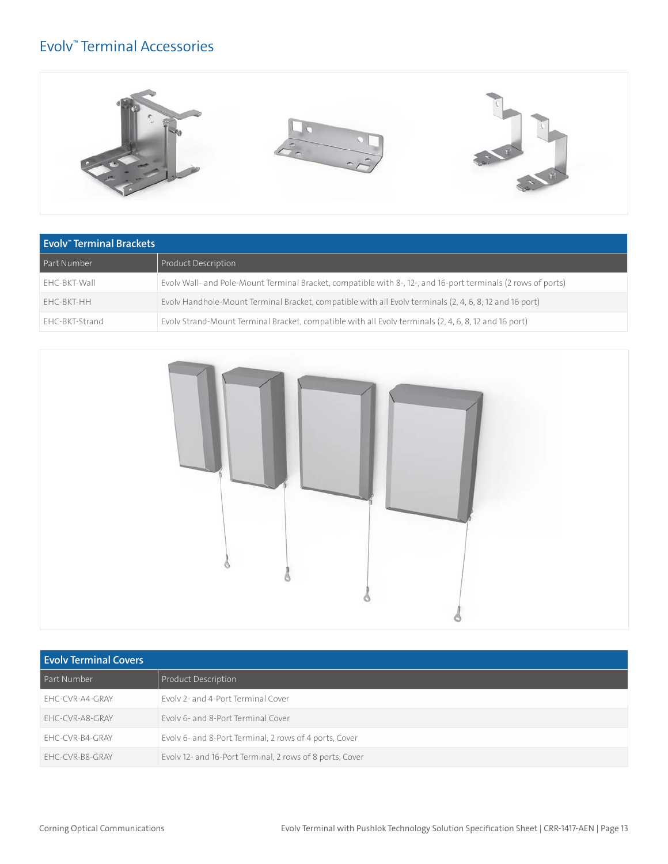### Evolv™ Terminal Accessories



| Evolv <sup>*</sup> Terminal Brackets |                                                                                                               |  |
|--------------------------------------|---------------------------------------------------------------------------------------------------------------|--|
| Part Number                          | Product Description                                                                                           |  |
| EHC-BKT-Wall                         | Evoly Wall- and Pole-Mount Terminal Bracket, compatible with 8-, 12-, and 16-port terminals (2 rows of ports) |  |
| FHC-BKT-HH                           | Evoly Handhole-Mount Terminal Bracket, compatible with all Evoly terminals (2, 4, 6, 8, 12 and 16 port)       |  |
| EHC-BKT-Strand                       | Evolv Strand-Mount Terminal Bracket, compatible with all Evolv terminals (2, 4, 6, 8, 12 and 16 port)         |  |



| <b>Evoly Terminal Covers</b> |                                                          |  |
|------------------------------|----------------------------------------------------------|--|
| Part Number                  | <b>Product Description</b>                               |  |
| FHC-CVR-A4-GRAY              | Fyoly 2- and 4-Port Terminal Cover                       |  |
| FHC-CVR-A8-GRAY              | Evoly 6- and 8-Port Terminal Cover                       |  |
| EHC-CVR-B4-GRAY              | Evolv 6- and 8-Port Terminal, 2 rows of 4 ports, Cover   |  |
| EHC-CVR-B8-GRAY              | Evolv 12- and 16-Port Terminal, 2 rows of 8 ports, Cover |  |